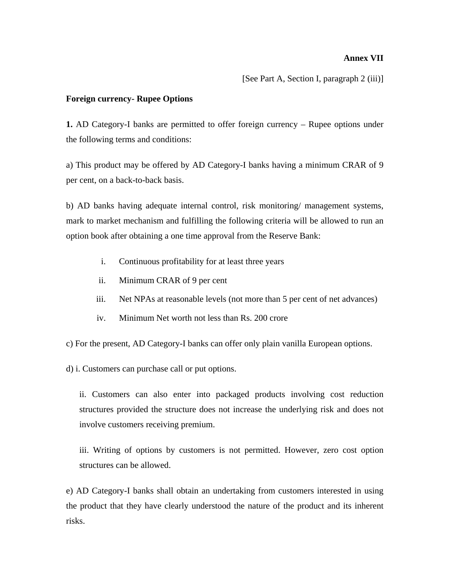### **Annex VII**

[See Part A, Section I, paragraph 2 (iii)]

### **Foreign currency- Rupee Options**

**1.** AD Category-I banks are permitted to offer foreign currency – Rupee options under the following terms and conditions:

a) This product may be offered by AD Category-I banks having a minimum CRAR of 9 per cent, on a back-to-back basis.

b) AD banks having adequate internal control, risk monitoring/ management systems, mark to market mechanism and fulfilling the following criteria will be allowed to run an option book after obtaining a one time approval from the Reserve Bank:

- i. Continuous profitability for at least three years
- ii. Minimum CRAR of 9 per cent
- iii. Net NPAs at reasonable levels (not more than 5 per cent of net advances)
- iv. Minimum Net worth not less than Rs. 200 crore
- c) For the present, AD Category-I banks can offer only plain vanilla European options.

d) i. Customers can purchase call or put options.

ii. Customers can also enter into packaged products involving cost reduction structures provided the structure does not increase the underlying risk and does not involve customers receiving premium.

iii. Writing of options by customers is not permitted. However, zero cost option structures can be allowed.

e) AD Category-I banks shall obtain an undertaking from customers interested in using the product that they have clearly understood the nature of the product and its inherent risks.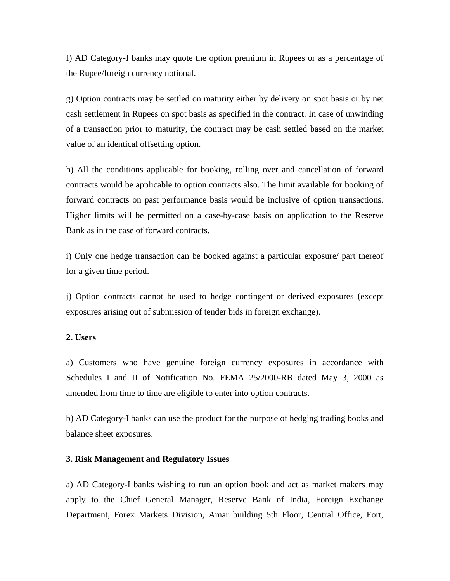f) AD Category-I banks may quote the option premium in Rupees or as a percentage of the Rupee/foreign currency notional.

g) Option contracts may be settled on maturity either by delivery on spot basis or by net cash settlement in Rupees on spot basis as specified in the contract. In case of unwinding of a transaction prior to maturity, the contract may be cash settled based on the market value of an identical offsetting option.

h) All the conditions applicable for booking, rolling over and cancellation of forward contracts would be applicable to option contracts also. The limit available for booking of forward contracts on past performance basis would be inclusive of option transactions. Higher limits will be permitted on a case-by-case basis on application to the Reserve Bank as in the case of forward contracts.

i) Only one hedge transaction can be booked against a particular exposure/ part thereof for a given time period.

j) Option contracts cannot be used to hedge contingent or derived exposures (except exposures arising out of submission of tender bids in foreign exchange).

#### **2. Users**

a) Customers who have genuine foreign currency exposures in accordance with Schedules I and II of Notification No. FEMA 25/2000-RB dated May 3, 2000 as amended from time to time are eligible to enter into option contracts.

b) AD Category-I banks can use the product for the purpose of hedging trading books and balance sheet exposures.

### **3. Risk Management and Regulatory Issues**

a) AD Category-I banks wishing to run an option book and act as market makers may apply to the Chief General Manager, Reserve Bank of India, Foreign Exchange Department, Forex Markets Division, Amar building 5th Floor, Central Office, Fort,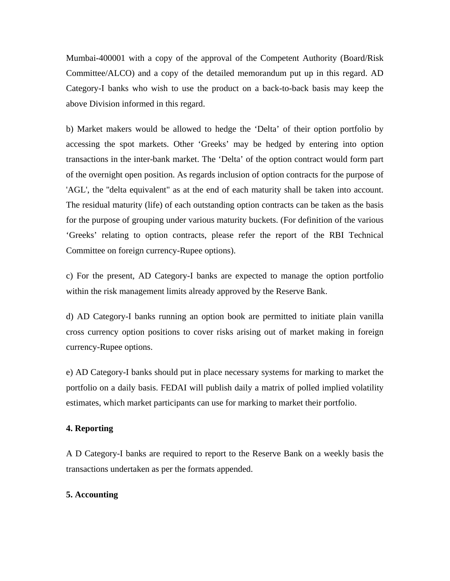Mumbai-400001 with a copy of the approval of the Competent Authority (Board/Risk Committee/ALCO) and a copy of the detailed memorandum put up in this regard. AD Category-I banks who wish to use the product on a back-to-back basis may keep the above Division informed in this regard.

b) Market makers would be allowed to hedge the 'Delta' of their option portfolio by accessing the spot markets. Other 'Greeks' may be hedged by entering into option transactions in the inter-bank market. The 'Delta' of the option contract would form part of the overnight open position. As regards inclusion of option contracts for the purpose of 'AGL', the ''delta equivalent" as at the end of each maturity shall be taken into account. The residual maturity (life) of each outstanding option contracts can be taken as the basis for the purpose of grouping under various maturity buckets. (For definition of the various 'Greeks' relating to option contracts, please refer the report of the RBI Technical Committee on foreign currency-Rupee options).

c) For the present, AD Category-I banks are expected to manage the option portfolio within the risk management limits already approved by the Reserve Bank.

d) AD Category-I banks running an option book are permitted to initiate plain vanilla cross currency option positions to cover risks arising out of market making in foreign currency-Rupee options.

e) AD Category-I banks should put in place necessary systems for marking to market the portfolio on a daily basis. FEDAI will publish daily a matrix of polled implied volatility estimates, which market participants can use for marking to market their portfolio.

### **4. Reporting**

A D Category-I banks are required to report to the Reserve Bank on a weekly basis the transactions undertaken as per the formats appended.

### **5. Accounting**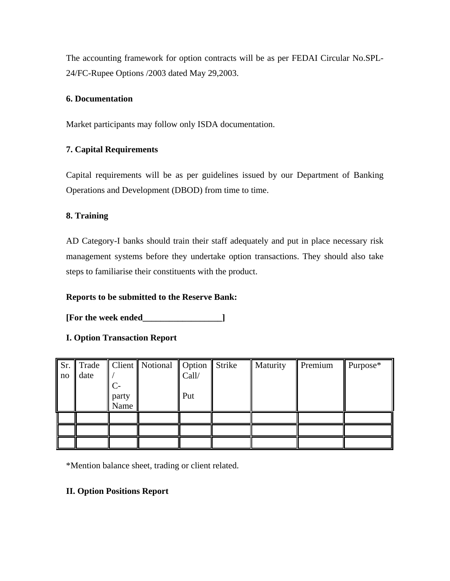The accounting framework for option contracts will be as per FEDAI Circular No.SPL-24/FC-Rupee Options /2003 dated May 29,2003.

## **6. Documentation**

Market participants may follow only ISDA documentation.

# **7. Capital Requirements**

Capital requirements will be as per guidelines issued by our Department of Banking Operations and Development (DBOD) from time to time.

## **8. Training**

AD Category-I banks should train their staff adequately and put in place necessary risk management systems before they undertake option transactions. They should also take steps to familiarise their constituents with the product.

## **Reports to be submitted to the Reserve Bank:**

**[For the week ended\_\_\_\_\_\_\_\_\_\_\_\_\_\_\_\_\_\_]** 

# **I. Option Transaction Report**

| Sr.<br>no | Trade<br>date | $\mathcal{L}_{\mathcal{L}}$<br>party<br>Name | Client    Notional    Option | Call/<br>Put | <b>Strike</b> | Maturity | Premium | Purpose* |
|-----------|---------------|----------------------------------------------|------------------------------|--------------|---------------|----------|---------|----------|
|           |               |                                              |                              |              |               |          |         |          |

\*Mention balance sheet, trading or client related.

# **II. Option Positions Report**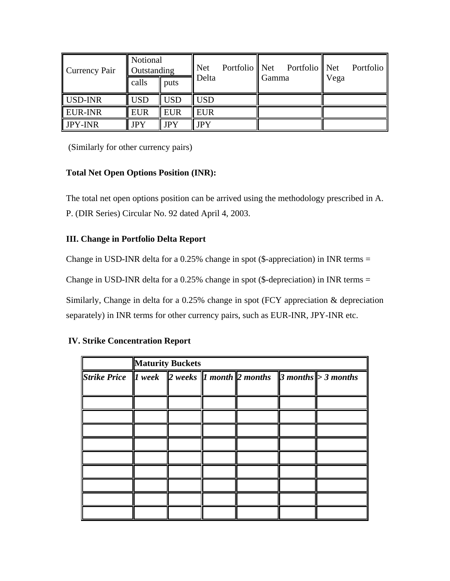| Currency Pair  | Notional<br>Outstanding |            | <b>Net</b> | Portfolio    Net | Portfolio Net |      | Portfolio |  |
|----------------|-------------------------|------------|------------|------------------|---------------|------|-----------|--|
|                | calls                   | puts       | Delta      |                  | Gamma         | Vega |           |  |
| USD-INR        | <b>USD</b>              | <b>USD</b> | <b>USD</b> |                  |               |      |           |  |
| <b>EUR-INR</b> | <b>EUR</b>              | <b>EUR</b> | <b>EUR</b> |                  |               |      |           |  |
| <b>JPY-INR</b> | <b>JPY</b>              | <b>JPY</b> | <b>JPY</b> |                  |               |      |           |  |

(Similarly for other currency pairs)

# **Total Net Open Options Position (INR):**

The total net open options position can be arrived using the methodology prescribed in A. P. (DIR Series) Circular No. 92 dated April 4, 2003.

# **III. Change in Portfolio Delta Report**

Change in USD-INR delta for a 0.25% change in spot (\$-appreciation) in INR terms  $=$ 

Change in USD-INR delta for a 0.25% change in spot (\$-depreciation) in INR terms =

Similarly, Change in delta for a 0.25% change in spot (FCY appreciation & depreciation separately) in INR terms for other currency pairs, such as EUR-INR, JPY-INR etc.

## **IV. Strike Concentration Report**

|                                                                                  | <b>Maturity Buckets</b> |  |  |  |  |  |  |  |
|----------------------------------------------------------------------------------|-------------------------|--|--|--|--|--|--|--|
| Strike Price    Week    2 weeks    1 month    2 months    3 months    > 3 months |                         |  |  |  |  |  |  |  |
|                                                                                  |                         |  |  |  |  |  |  |  |
|                                                                                  |                         |  |  |  |  |  |  |  |
|                                                                                  |                         |  |  |  |  |  |  |  |
|                                                                                  |                         |  |  |  |  |  |  |  |
|                                                                                  |                         |  |  |  |  |  |  |  |
|                                                                                  |                         |  |  |  |  |  |  |  |
|                                                                                  |                         |  |  |  |  |  |  |  |
|                                                                                  |                         |  |  |  |  |  |  |  |
|                                                                                  |                         |  |  |  |  |  |  |  |